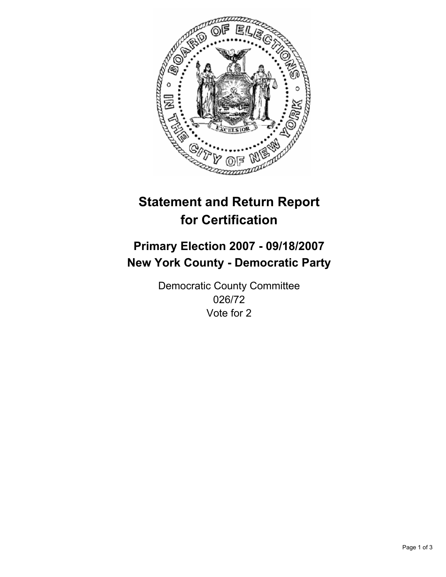

# **Statement and Return Report for Certification**

## **Primary Election 2007 - 09/18/2007 New York County - Democratic Party**

Democratic County Committee 026/72 Vote for 2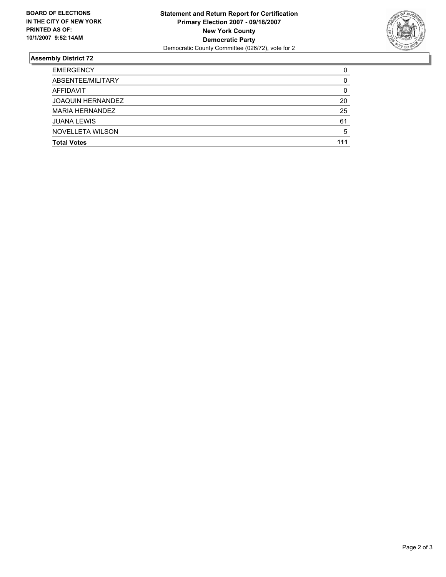

### **Assembly District 72**

| <b>EMERGENCY</b>         | C   |
|--------------------------|-----|
| ABSENTEE/MILITARY        |     |
| AFFIDAVIT                |     |
| <b>JOAQUIN HERNANDEZ</b> | 20  |
| <b>MARIA HERNANDEZ</b>   | 25  |
| <b>JUANA LEWIS</b>       | 61  |
| NOVELLETA WILSON         |     |
| <b>Total Votes</b>       | 111 |